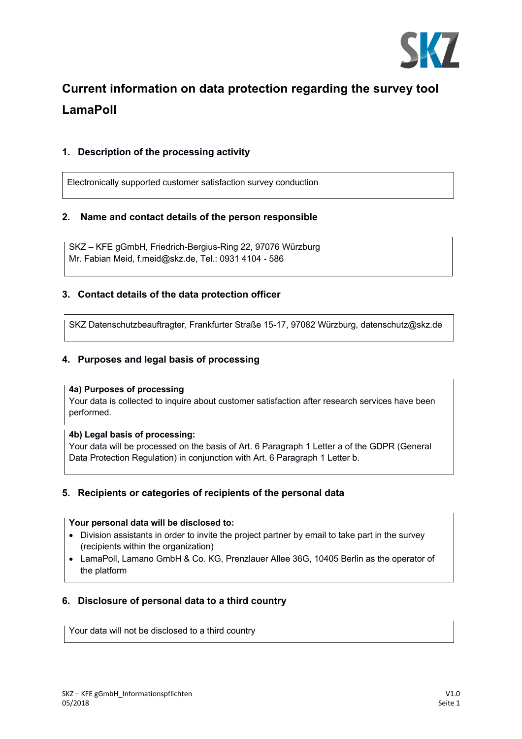

# **Current information on data protection regarding the survey tool LamaPoll**

# **1. Description of the processing activity**

Electronically supported customer satisfaction survey conduction

## **2. Name and contact details of the person responsible**

SKZ – KFE gGmbH, Friedrich-Bergius-Ring 22, 97076 Würzburg Mr. Fabian Meid, f.meid@skz.de, Tel.: 0931 4104 - 586

## **3. Contact details of the data protection officer**

SKZ Datenschutzbeauftragter, Frankfurter Straße 15-17, 97082 Würzburg, datenschutz@skz.de

## **4. Purposes and legal basis of processing**

#### **4a) Purposes of processing**

Your data is collected to inquire about customer satisfaction after research services have been performed.

#### **4b) Legal basis of processing:**

Your data will be processed on the basis of Art. 6 Paragraph 1 Letter a of the GDPR (General Data Protection Regulation) in conjunction with Art. 6 Paragraph 1 Letter b.

## **5. Recipients or categories of recipients of the personal data**

#### **Your personal data will be disclosed to:**

- Division assistants in order to invite the project partner by email to take part in the survey (recipients within the organization)
- LamaPoll, Lamano GmbH & Co. KG, Prenzlauer Allee 36G, 10405 Berlin as the operator of the platform

# **6. Disclosure of personal data to a third country**

Your data will not be disclosed to a third country